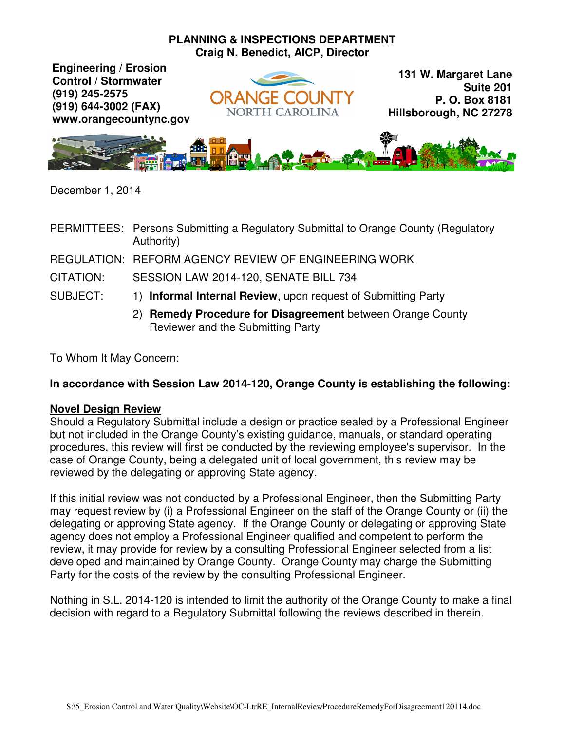## **PLANNING & INSPECTIONS DEPARTMENT Craig N. Benedict, AICP, Director**

**Engineering / Erosion Control / Stormwater (919) 245-2575 (919) 644-3002 (FAX) www.orangecountync.gov**



**131 W. Margaret Lane Suite 201 P. O. Box 8181 Hillsborough, NC 27278**



December 1, 2014

PERMITTEES: Persons Submitting a Regulatory Submittal to Orange County (Regulatory Authority)

REGULATION: REFORM AGENCY REVIEW OF ENGINEERING WORK

CITATION: SESSION LAW 2014-120, SENATE BILL 734

SUBJECT: 1) **Informal Internal Review**, upon request of Submitting Party

2) **Remedy Procedure for Disagreement** between Orange County Reviewer and the Submitting Party

To Whom It May Concern:

## **In accordance with Session Law 2014-120, Orange County is establishing the following:**

## **Novel Design Review**

Should a Regulatory Submittal include a design or practice sealed by a Professional Engineer but not included in the Orange County's existing guidance, manuals, or standard operating procedures, this review will first be conducted by the reviewing employee's supervisor. In the case of Orange County, being a delegated unit of local government, this review may be reviewed by the delegating or approving State agency.

If this initial review was not conducted by a Professional Engineer, then the Submitting Party may request review by (i) a Professional Engineer on the staff of the Orange County or (ii) the delegating or approving State agency. If the Orange County or delegating or approving State agency does not employ a Professional Engineer qualified and competent to perform the review, it may provide for review by a consulting Professional Engineer selected from a list developed and maintained by Orange County. Orange County may charge the Submitting Party for the costs of the review by the consulting Professional Engineer.

Nothing in S.L. 2014-120 is intended to limit the authority of the Orange County to make a final decision with regard to a Regulatory Submittal following the reviews described in therein.